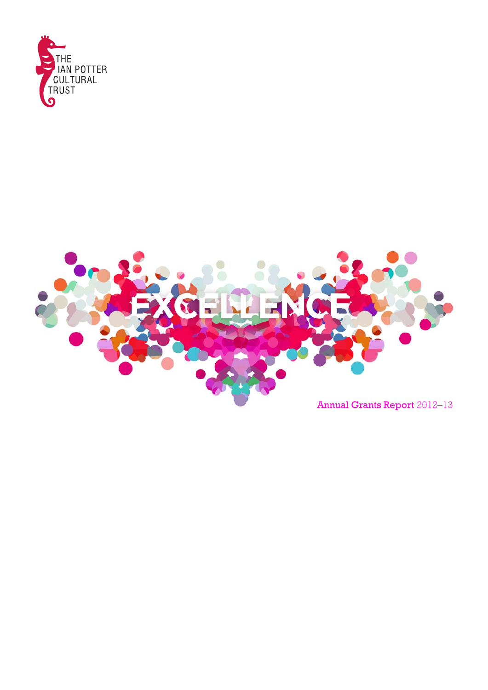

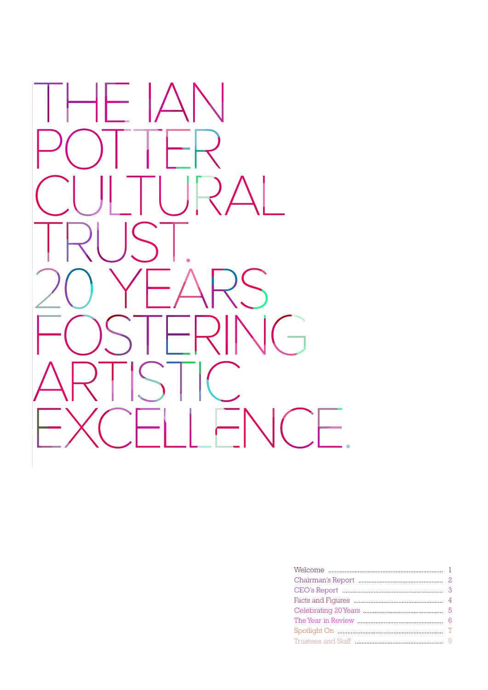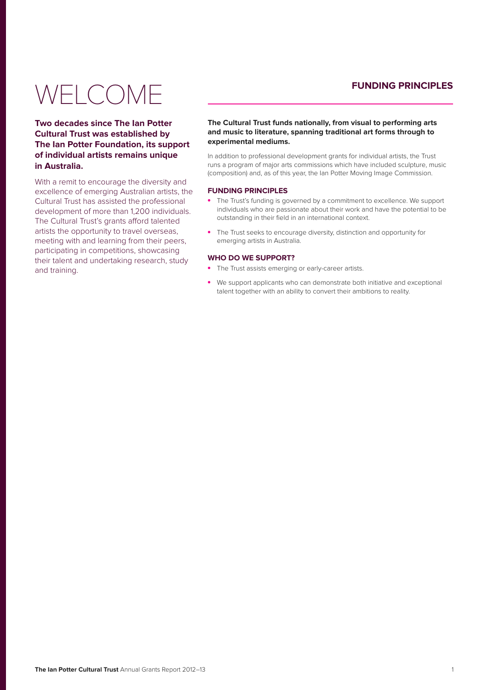# **FUNDING PRINCIPLES**

# <span id="page-2-0"></span>WELCOME

**Two decades since The Ian Potter Cultural Trust was established by The Ian Potter Foundation, its support of individual artists remains unique in Australia.**

With a remit to encourage the diversity and excellence of emerging Australian artists, the Cultural Trust has assisted the professional development of more than 1,200 individuals. The Cultural Trust's grants afford talented artists the opportunity to travel overseas, meeting with and learning from their peers, participating in competitions, showcasing their talent and undertaking research, study and training.

### **The Cultural Trust funds nationally, from visual to performing arts and music to literature, spanning traditional art forms through to experimental mediums.**

In addition to professional development grants for individual artists, the Trust runs a program of major arts commissions which have included sculpture, music (composition) and, as of this year, the Ian Potter Moving Image Commission.

#### **FUNDING PRINCIPLES**

- The Trust's funding is governed by a commitment to excellence. We support individuals who are passionate about their work and have the potential to be outstanding in their field in an international context.
- The Trust seeks to encourage diversity, distinction and opportunity for emerging artists in Australia.

#### **WHO DO WE SUPPORT?**

- The Trust assists emerging or early-career artists.
- We support applicants who can demonstrate both initiative and exceptional talent together with an ability to convert their ambitions to reality.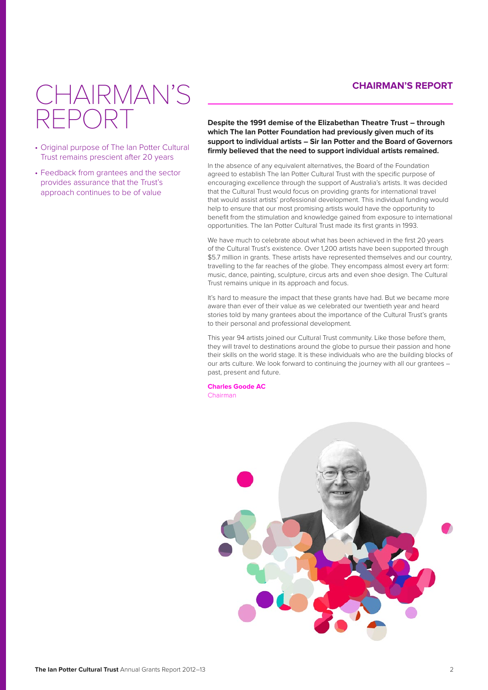## **CHAIRMAN'S REPORT**

# <span id="page-3-0"></span>IAIRMAN'S REPORT

- Original purpose of The Ian Potter Cultural Trust remains prescient after 20 years
- Feedback from grantees and the sector provides assurance that the Trust's approach continues to be of value

**Despite the 1991 demise of the Elizabethan Theatre Trust – through which The Ian Potter Foundation had previously given much of its support to individual artists – Sir Ian Potter and the Board of Governors firmly believed that the need to support individual artists remained.**

In the absence of any equivalent alternatives, the Board of the Foundation agreed to establish The Ian Potter Cultural Trust with the specific purpose of encouraging excellence through the support of Australia's artists. It was decided that the Cultural Trust would focus on providing grants for international travel that would assist artists' professional development. This individual funding would help to ensure that our most promising artists would have the opportunity to benefit from the stimulation and knowledge gained from exposure to international opportunities. The Ian Potter Cultural Trust made its first grants in 1993.

We have much to celebrate about what has been achieved in the first 20 years of the Cultural Trust's existence. Over 1,200 artists have been supported through \$5.7 million in grants. These artists have represented themselves and our country, travelling to the far reaches of the globe. They encompass almost every art form: music, dance, painting, sculpture, circus arts and even shoe design. The Cultural Trust remains unique in its approach and focus.

It's hard to measure the impact that these grants have had. But we became more aware than ever of their value as we celebrated our twentieth year and heard stories told by many grantees about the importance of the Cultural Trust's grants to their personal and professional development.

This year 94 artists joined our Cultural Trust community. Like those before them, they will travel to destinations around the globe to pursue their passion and hone their skills on the world stage. It is these individuals who are the building blocks of our arts culture. We look forward to continuing the journey with all our grantees – past, present and future.

**Charles Goode AC** Chairman

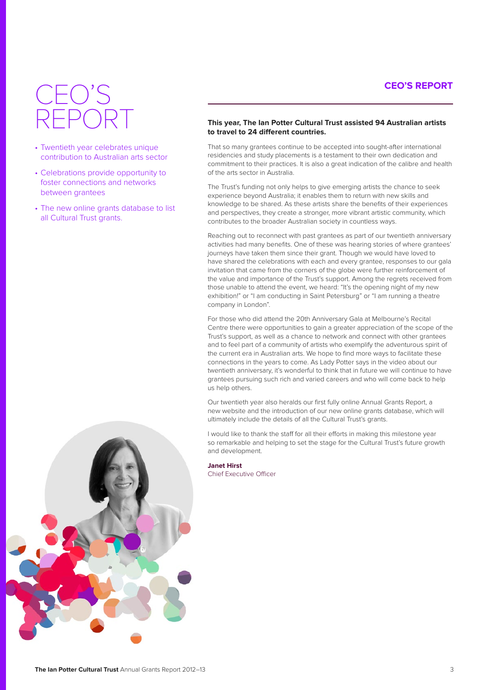# **CEO'S REPORT**

# <span id="page-4-0"></span>CEO'S REPORT

- Twentieth year celebrates unique contribution to Australian arts sector
- Celebrations provide opportunity to foster connections and networks between grantees
- The new online grants database to list all Cultural Trust grants.

#### **This year, The Ian Potter Cultural Trust assisted 94 Australian artists to travel to 24 different countries.**

That so many grantees continue to be accepted into sought-after international residencies and study placements is a testament to their own dedication and commitment to their practices. It is also a great indication of the calibre and health of the arts sector in Australia.

The Trust's funding not only helps to give emerging artists the chance to seek experience beyond Australia; it enables them to return with new skills and knowledge to be shared. As these artists share the benefits of their experiences and perspectives, they create a stronger, more vibrant artistic community, which contributes to the broader Australian society in countless ways.

Reaching out to reconnect with past grantees as part of our twentieth anniversary activities had many benefits. One of these was hearing stories of where grantees' journeys have taken them since their grant. Though we would have loved to have shared the celebrations with each and every grantee, responses to our gala invitation that came from the corners of the globe were further reinforcement of the value and importance of the Trust's support. Among the regrets received from those unable to attend the event, we heard: "It's the opening night of my new exhibition!" or "I am conducting in Saint Petersburg" or "I am running a theatre company in London".

For those who did attend the 20th Anniversary Gala at Melbourne's Recital Centre there were opportunities to gain a greater appreciation of the scope of the Trust's support, as well as a chance to network and connect with other grantees and to feel part of a community of artists who exemplify the adventurous spirit of the current era in Australian arts. We hope to find more ways to facilitate these connections in the years to come. As Lady Potter says in the video about our twentieth anniversary, it's wonderful to think that in future we will continue to have grantees pursuing such rich and varied careers and who will come back to help us help others.

Our twentieth year also heralds our first fully online Annual Grants Report, a new website and the introduction of our new online grants database, which will ultimately include the details of all the Cultural Trust's grants.

I would like to thank the staff for all their efforts in making this milestone year so remarkable and helping to set the stage for the Cultural Trust's future growth and development.

#### **Janet Hirst**

Chief Executive Officer

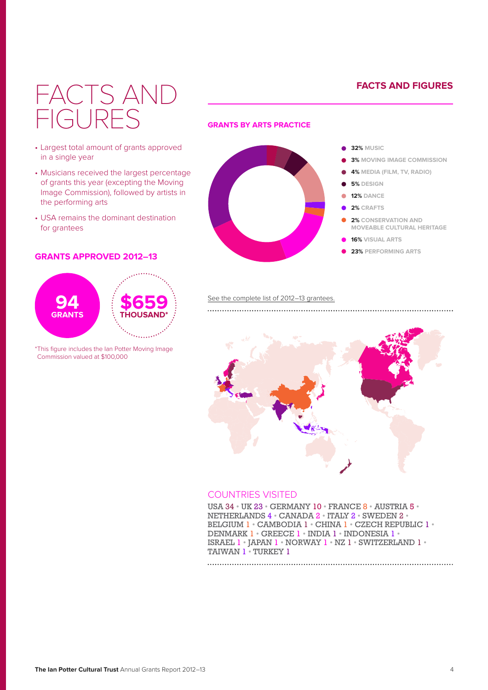# **FACTS AND FIGURES**

# <span id="page-5-0"></span>FACTS AND FIGURES

- Largest total amount of grants approved in a single year
- Musicians received the largest percentage of grants this year (excepting the Moving Image Commission), followed by artists in the performing arts
- USA remains the dominant destination for grantees

### **GRANTS APPROVED 2012–13**



\*This figure includes the Ian Potter Moving Image Commission valued at \$100,000

### **GRANTS BY ARTS PRACTICE**



See the complete list of 2012-13 grantees.



## COUNTRIES VISITED

USA 34 • UK 23 • GERMANY 10 • FRANCE 8 • AUSTRIA 5 • NETHERLANDS 4 • CANADA 2 • ITALY 2 • SWEDEN 2 • BELGIUM 1 • CAMBODIA 1 • CHINA 1 • CZECH REPUBLIC 1 • DENMARK 1 • GREECE 1 • INDIA 1 • INDONESIA 1 • ISRAEL 1 • JAPAN 1 • NORWAY 1 • NZ 1 • SWITZERLAND 1 • TAIWAN 1 · TURKEY 1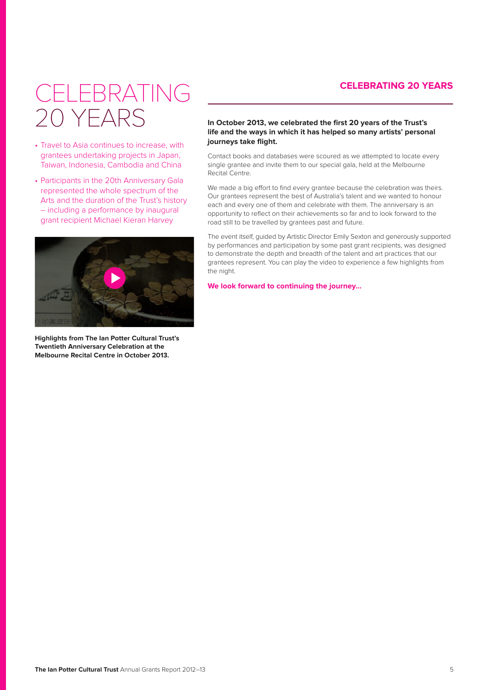# **CELEBRATING 20 YEARS**

# <span id="page-6-0"></span>**CELEBRATING** 20 YEARS

- Travel to Asia continues to increase, with grantees undertaking projects in Japan, Taiwan, Indonesia, Cambodia and China
- Participants in the 20th Anniversary Gala represented the whole spectrum of the Arts and the duration of the Trust's history – including a performance by inaugural grant recipient Michael Kieran Harvey



**Highlights from The Ian Potter Cultural Trust's Twentieth Anniversary Celebration at the Melbourne Recital Centre in October 2013.**

### **In October 2013, we celebrated the first 20 years of the Trust's life and the ways in which it has helped so many artists' personal journeys take flight.**

Contact books and databases were scoured as we attempted to locate every single grantee and invite them to our special gala, held at the Melbourne Recital Centre.

We made a big effort to find every grantee because the celebration was theirs. Our grantees represent the best of Australia's talent and we wanted to honour each and every one of them and celebrate with them. The anniversary is an opportunity to reflect on their achievements so far and to look forward to the road still to be travelled by grantees past and future.

The event itself, guided by Artistic Director Emily Sexton and generously supported by performances and participation by some past grant recipients, was designed to demonstrate the depth and breadth of the talent and art practices that our grantees represent. You can play the video to experience a few highlights from the night.

**We look forward to continuing the journey…**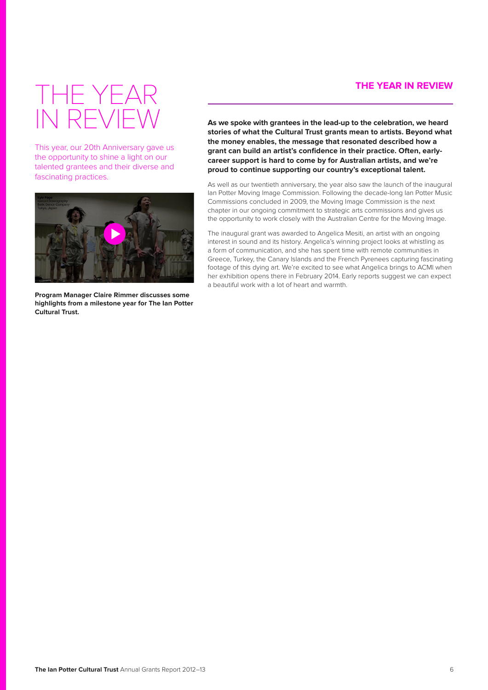## **THE YEAR IN REVIEW**

# <span id="page-7-0"></span>THE YEAR IN REVIEW

This year, our 20th Anniversary gave us the opportunity to shine a light on our talented grantees and their diverse and fascinating practices.



**Program Manager Claire Rimmer discusses some highlights from a milestone year for The Ian Potter Cultural Trust.**

**As we spoke with grantees in the lead-up to the celebration, we heard stories of what the Cultural Trust grants mean to artists. Beyond what the money enables, the message that resonated described how a grant can build an artist's confidence in their practice. Often, earlycareer support is hard to come by for Australian artists, and we're proud to continue supporting our country's exceptional talent.**

As well as our twentieth anniversary, the year also saw the launch of the inaugural Ian Potter Moving Image Commission. Following the decade-long Ian Potter Music Commissions concluded in 2009, the Moving Image Commission is the next chapter in our ongoing commitment to strategic arts commissions and gives us the opportunity to work closely with the Australian Centre for the Moving Image.

The inaugural grant was awarded to Angelica Mesiti, an artist with an ongoing interest in sound and its history. Angelica's winning project looks at whistling as a form of communication, and she has spent time with remote communities in Greece, Turkey, the Canary Islands and the French Pyrenees capturing fascinating footage of this dying art. We're excited to see what Angelica brings to ACMI when her exhibition opens there in February 2014. Early reports suggest we can expect a beautiful work with a lot of heart and warmth.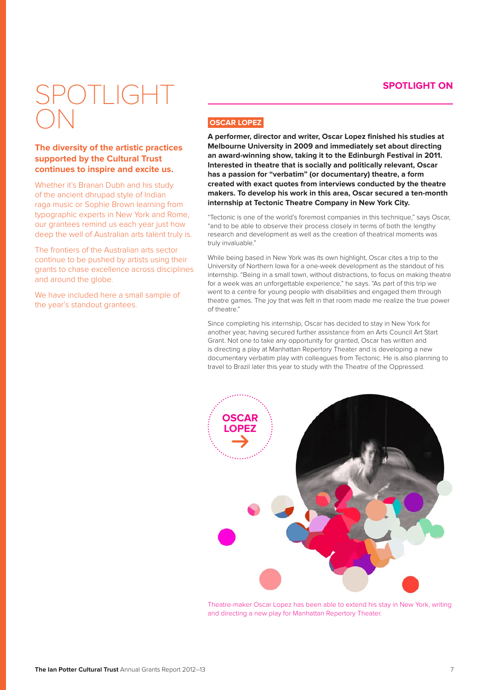## **SPOTLIGHT ON**

# <span id="page-8-0"></span> $\bigcap$   $\bigcap$   $\bigcap$ ON

### **The diversity of the artistic practices supported by the Cultural Trust continues to inspire and excite us.**

Whether it's Branan Dubh and his study of the ancient dhrupad style of Indian raga music or Sophie Brown learning from typographic experts in New York and Rome, our grantees remind us each year just how deep the well of Australian arts talent truly is.

The frontiers of the Australian arts sector continue to be pushed by artists using their grants to chase excellence across disciplines and around the globe.

We have included here a small sample of the year's standout grantees.

## **OSCAR LOPEZ**

**A performer, director and writer, Oscar Lopez finished his studies at Melbourne University in 2009 and immediately set about directing an award-winning show, taking it to the Edinburgh Festival in 2011. Interested in theatre that is socially and politically relevant, Oscar has a passion for "verbatim" (or documentary) theatre, a form created with exact quotes from interviews conducted by the theatre makers. To develop his work in this area, Oscar secured a ten-month internship at Tectonic Theatre Company in New York City.**

"Tectonic is one of the world's foremost companies in this technique," says Oscar, "and to be able to observe their process closely in terms of both the lengthy research and development as well as the creation of theatrical moments was truly invaluable."

While being based in New York was its own highlight, Oscar cites a trip to the University of Northern Iowa for a one-week development as the standout of his internship. "Being in a small town, without distractions, to focus on making theatre for a week was an unforgettable experience," he says. "As part of this trip we went to a centre for young people with disabilities and engaged them through theatre games. The joy that was felt in that room made me realize the true power of theatre."

Since completing his internship, Oscar has decided to stay in New York for another year, having secured further assistance from an Arts Council Art Start Grant. Not one to take any opportunity for granted, Oscar has written and is directing a play at Manhattan Repertory Theater and is developing a new documentary verbatim play with colleagues from Tectonic. He is also planning to travel to Brazil later this year to study with the Theatre of the Oppressed.



Theatre-maker Oscar Lopez has been able to extend his stay in New York, writing and directing a new play for Manhattan Repertory Theater.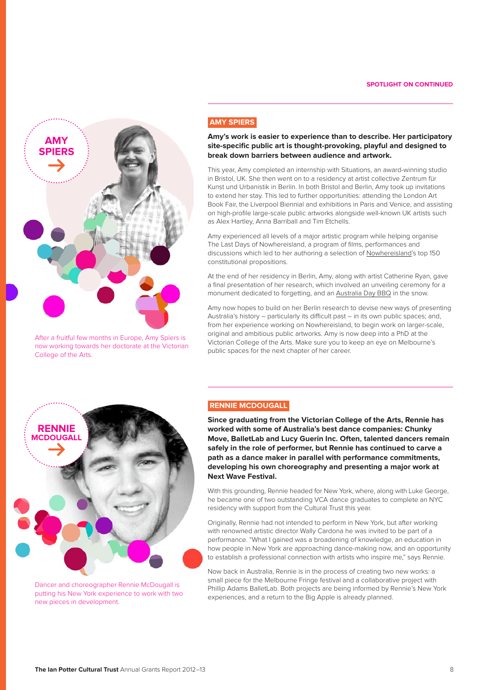

After a fruitful few months in Europe, Amy Spiers is now working towards her doctorate at the Victorian College of the Arts.

#### **AMY SPIERS**

**Amy's work is easier to experience than to describe. Her participatory site-specific public art is thought-provoking, playful and designed to break down barriers between audience and artwork.**

This year, Amy completed an internship with Situations, an award-winning studio in Bristol, UK. She then went on to a residency at artist collective Zentrum für Kunst und Urbanistik in Berlin. In both Bristol and Berlin, Amy took up invitations to extend her stay. This led to further opportunities: attending the London Art Book Fair, the Liverpool Biennial and exhibitions in Paris and Venice, and assisting on high-profile large-scale public artworks alongside well-known UK artists such as Alex Hartley, Anna Barriball and Tim Etchells.

Amy experienced all levels of a major artistic program while helping organise The Last Days of Nowhereisland, a program of films, performances and discussions which led to her authoring a selection of [Nowhereisland](http://nowhereisland.org/citizenship/constiution/)'s top 150 constitutional propositions.

At the end of her residency in Berlin, Amy, along with artist Catherine Ryan, gave a final presentation of her research, which involved an unveiling ceremony for a monument dedicated to forgetting, and an [Australia Day BBQ](https://thefuturesofthepast.wordpress.com/artworks/monument/) in the snow.

Amy now hopes to build on her Berlin research to devise new ways of presenting Australia's history – particularly its difficult past – in its own public spaces; and, from her experience working on Nowhereisland, to begin work on larger-scale, original and ambitious public artworks. Amy is now deep into a PhD at the Victorian College of the Arts. Make sure you to keep an eye on Melbourne's public spaces for the next chapter of her career.



Dancer and choreographer Rennie McDougall is putting his New York experience to work with two new pieces in development.

### **RENNIE MCDOUGALL**

**Since graduating from the Victorian College of the Arts, Rennie has worked with some of Australia's best dance companies: Chunky Move, BalletLab and Lucy Guerin Inc. Often, talented dancers remain safely in the role of performer, but Rennie has continued to carve a path as a dance maker in parallel with performance commitments, developing his own choreography and presenting a major work at Next Wave Festival.**

With this grounding, Rennie headed for New York, where, along with Luke George, he became one of two outstanding VCA dance graduates to complete an NYC residency with support from the Cultural Trust this year.

Originally, Rennie had not intended to perform in New York, but after working with renowned artistic director Wally Cardona he was invited to be part of a performance. "What I gained was a broadening of knowledge, an education in how people in New York are approaching dance-making now, and an opportunity to establish a professional connection with artists who inspire me," says Rennie.

Now back in Australia, Rennie is in the process of creating two new works: a small piece for the Melbourne Fringe festival and a collaborative project with Phillip Adams BalletLab. Both projects are being informed by Rennie's New York experiences, and a return to the Big Apple is already planned.